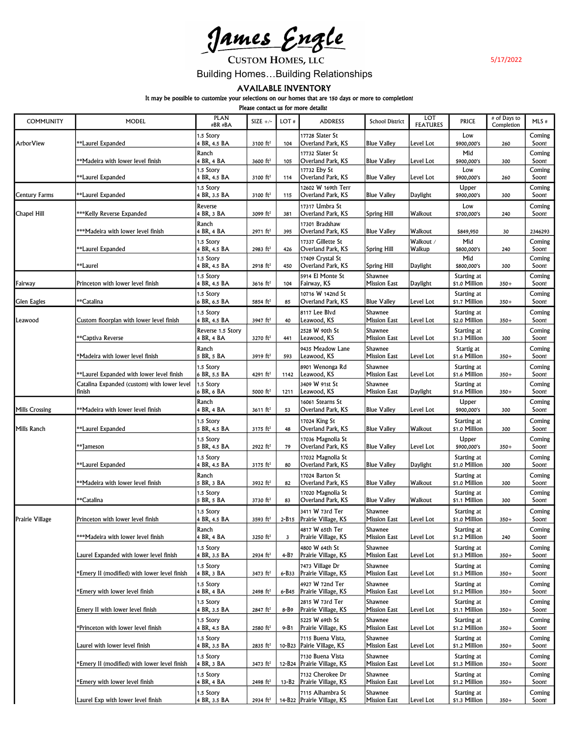<u>James Engle</u>

**CUSTOM HOMES, LLC** 

5/17/2022

Building Homes…Building Relationships

AVAILABLE INVENTORY

It may be possible to customize your selections on our homes that are 150 days or more to completion!

Please contact us for more details!

| <b>COMMUNITY</b>      | MODEL                                                   | <b>PLAN</b><br>#BR #BA          | SIZE $+/-$             | LOT#  | <b>ADDRESS</b>                                   | <b>School District</b>         | LOT<br><b>FEATURES</b> | <b>PRICE</b>                 | # of Days to<br>Completion | $MLS$ #         |
|-----------------------|---------------------------------------------------------|---------------------------------|------------------------|-------|--------------------------------------------------|--------------------------------|------------------------|------------------------------|----------------------------|-----------------|
| ArborView             | **Laurel Expanded                                       | 1.5 Story<br>4 BR, 4.5 BA       | 3100 $ft^2$            | 104   | 17728 Slater St<br>Overland Park, KS             | <b>Blue Valley</b>             | Level Lot              | Low<br>\$900,000's           | 260                        | Coming<br>Soon! |
|                       | **Madeira with lower level finish                       | Ranch<br>4 BR, 4 BA             | 3600 ft <sup>2</sup>   | 105   | 17732 Slater St<br>Overland Park, KS             | <b>Blue Valley</b>             | Level Lot              | Mid<br>\$900,000's           | 300                        | Coming<br>Soon! |
|                       | **Laurel Expanded                                       | 1.5 Story<br>4 BR, 4.5 BA       | 3100 $ft^2$            | 114   | 17732 Eby St<br>Overland Park, KS                | <b>Blue Valley</b>             | Level Lot              | Low<br>\$900,000's           | 260                        | Coming<br>Soon! |
| <b>Century Farms</b>  | **Laurel Expanded                                       | 1.5 Story<br>4 BR, 3.5 BA       | 3100 $ft^2$            | 115   | 12602 W 169th Terr<br>Overland Park, KS          | <b>Blue Valley</b>             | Daylight               | Upper<br>\$900,000's         | 300                        | Coming<br>Soon! |
| Chapel Hill           | ***Kelly Reverse Expanded                               | Reverse<br>4 BR, 3 BA           | 3099 ft <sup>2</sup>   | 381   | 17317 Umbra St<br>Overland Park, KS              | <b>Spring Hill</b>             | Walkout                | Low<br>\$700,000's           | 240                        | Coming<br>Soon! |
|                       | ***Madeira with lower level finish                      | Ranch<br>4 BR, 4 BA             | $2971$ ft <sup>2</sup> | 395   | 17301 Bradshaw<br>Overland Park, KS              | <b>Blue Valley</b>             | Walkout                | \$849,950                    | 30                         | 2346293         |
|                       | <b>Laurel Expanded*</b>                                 | 1.5 Story<br>4 BR, 4.5 BA       | 2983 $ft^2$            | 426   | 17337 Gillette St<br>Overland Park, KS           | <b>Spring Hill</b>             | Walkout /<br>Walkup    | Mid<br>\$800,000's           | 240                        | Coming<br>Soon! |
|                       | **LaureI                                                | 1.5 Story<br>4 BR, 4.5 BA       | $2918 \text{ ft}^2$    | 450   | 17409 Crystal St<br>Overland Park, KS            | <b>Spring Hill</b>             | Daylight               | Mid<br>\$800,000's           | 300                        | Coming<br>Soon! |
| Fairway               | Princeton with lower level finish                       | 1.5 Story<br>4 BR, 4.5 BA       | $3616$ ft <sup>2</sup> | 104   | 5914 El Monte St<br> Fairway, KS                 | Shawnee<br><b>Mission East</b> | Daylight               | Starting at<br>\$1.0 Million | $350+$                     | Coming<br>Soon! |
| <b>Glen Eagles</b>    | **Catalina                                              | 1.5 Story<br>6 BR, 6.5 BA       | 5854 ft <sup>2</sup>   | 85    | 10716 W 142nd St<br>Overland Park, KS            | <b>Blue Valley</b>             | Level Lot              | Starting at<br>\$1.7 Million | $350+$                     | Coming<br>Soon! |
| Leawood               | Custom floorplan with lower level finish                | 1.5 Story<br>4 BR, 4.5 BA       | 3947 ft <sup>2</sup>   | 40    | 8117 Lee Blvd<br>Leawood, KS                     | Shawnee<br><b>Mission East</b> | Level Lot              | Starting at<br>\$2.0 Million | $350+$                     | Coming<br>Soon! |
|                       | *Captiva Reverse                                        | Reverse 1.5 Story<br>4 BR, 4 BA | 3270 ft <sup>2</sup>   | 441   | 2528 W 90th St<br>Leawood, KS                    | Shawnee<br><b>Mission East</b> | Level Lot              | Starting at<br>\$1.3 Million | 300                        | Coming<br>Soon! |
|                       | *Madeira with lower level finish                        | Ranch<br>5 BR, 5 BA             | 3919 ft <sup>2</sup>   | 593   | 9435 Meadow Lane<br>Leawood, KS                  | Shawnee<br><b>Mission East</b> | Level Lot              | Startig at<br>\$1.6 Million  | $350+$                     | Coming<br>Soon! |
|                       | **Laurel Expanded with lower level finish               | 1.5 Story<br>6 BR, 5.5 BA       | 4291 $ft^2$            | 1142  | 8901 Wenonga Rd<br>Leawood, KS                   | Shawnee<br><b>Mission East</b> | Level Lot              | Starting at<br>\$1.6 Million | $350+$                     | Coming<br>Soon! |
|                       | Catalina Expanded (custom) with lower level<br>l finish | 1.5 Story<br>6 BR, 6 BA         | 5000 ft <sup>2</sup>   | 1211  | 3409 W 91st St<br>Leawood, KS                    | Shawnee<br><b>Mission East</b> | Daylight               | Starting at<br>\$1.6 Million | $350+$                     | Coming<br>Soon! |
| <b>Mills Crossing</b> | **Madeira with lower level finish                       | Ranch<br>4 BR, 4 BA             | $3611 \text{ ft}^2$    | 53    | 16061 Stearns St<br>Overland Park, KS            | <b>Blue Valley</b>             | Level Lot              | Upper<br>\$900,000's         | 300                        | Coming<br>Soon! |
| Mills Ranch           | **Laurel Expanded                                       | 1.5 Story<br>5 BR, 4.5 BA       | $3175$ ft <sup>2</sup> | 48    | 17024 King St<br>Overland Park, KS               | <b>Blue Valley</b>             | Walkout                | Starting at<br>\$1.0 Million | 300                        | Coming<br>Soon! |
|                       | **Jameson                                               | 1.5 Story<br>5 BR, 4.5 BA       | 2922 $ft^2$            | 79    | 17036 Magnolia St<br>Overland Park, KS           | <b>Blue Valley</b>             | Level Lot              | Upper<br>\$900,000's         | $350+$                     | Coming<br>Soon! |
|                       | **Laurel Expanded                                       | .5 Story<br>4 BR, 4.5 BA        | $3175$ ft <sup>2</sup> | 80    | 17032 Magnolia St<br>Overland Park, KS           | <b>Blue Valley</b>             | Daylight               | Starting at<br>\$1.0 Million | 300                        | Coming<br>Soon! |
|                       | **Madeira with lower level finish                       | Ranch<br>5 BR, 3 BA             | 3932 ft <sup>2</sup>   | 82    | 17024 Barton St<br>Overland Park, KS             | <b>Blue Valley</b>             | Walkout                | Starting at<br>\$1.0 Million | 300                        | Coming<br>Soon! |
|                       | **Catalina                                              | 1.5 Story<br>5 BR, 5 BA         | 3730 ft <sup>2</sup>   | 83    | 17020 Magnolia St<br>Overland Park, KS           | <b>Blue Valley</b>             | Walkout                | Starting at<br>\$1.1 Million | 300                        | Coming<br>Soon! |
| Prairie Village       | Princeton with lower level finish                       | 1.5 Story<br>4 BR, 4.5 BA       | 3593 $ft^2$            |       | 3411 W 73rd Ter<br>2-B15   Prairie Village, KS   | Shawnee<br><b>Mission East</b> | Level Lot              | Starting at<br>\$1.0 Million | $350+$                     | Coming<br>Soon! |
|                       | ***Madeira with lower level finish                      | Ranch<br>4 BR, 4 BA             | 3250 ft <sup>2</sup>   | 3     | 4817 W 65th Ter<br>Prairie Village, KS           | Shawnee<br>Mission East        | Level Lot              | Starting at<br>\$1.2 Million | 240                        | Coming<br>Soon! |
|                       | Laurel Expanded with lower level finish                 | 1.5 Story<br>4 BR, 3.5 BA       | 2934 ft <sup>2</sup>   | 4-B7  | 4800 W 64th St<br>Prairie Village, KS            | Shawnee<br><b>Mission East</b> | Level Lot              | Starting at<br>\$1.3 Million | $350+$                     | Coming<br>Soon! |
|                       | Emery II (modified) with lower level finish             | 1.5 Story<br>4 BR, 3 BA         | 3473 ft <sup>2</sup>   | 6-B33 | 7473 Village Dr<br>Prairie Village, KS           | Shawnee<br><b>Mission East</b> | Level Lot              | Starting at<br>\$1.3 Million | $350+$                     | Coming<br>Soon! |
|                       | Emery with lower level finish                           | 1.5 Story<br>4 BR, 4 BA         | 2498 ft <sup>2</sup>   | 6-B45 | 4927 W 72nd Ter<br>Prairie Village, KS           | Shawnee<br>Mission East        | Level Lot              | Starting at<br>\$1.2 Million | $350+$                     | Coming<br>Soon! |
|                       | Emery II with lower level finish                        | 1.5 Story<br>4 BR, 3.5 BA       | 2847 ft <sup>2</sup>   | 8-B9  | 2815 W 73rd Ter<br>Prairie Village, KS           | Shawnee<br><b>Mission East</b> | Level Lot              | Starting at<br>\$1.1 Million | $350+$                     | Coming<br>Soon! |
|                       | *Princeton with lower level finish                      | 1.5 Story<br>4 BR, 4.5 BA       | 2580 ft <sup>2</sup>   | 9-B1  | 5225 W 69th St<br>Prairie Village, KS            | Shawnee<br><b>Mission East</b> | Level Lot              | Starting at<br>\$1.2 Million | $350+$                     | Coming<br>Soon! |
|                       | Laurel with lower level finish                          | 1.5 Story<br>4 BR, 3.5 BA       | 2835 ft <sup>2</sup>   |       | 7115 Buena Vista,<br>10-B23   Pairie Village, KS | Shawnee<br>Mission East        | Level Lot              | Starting at<br>\$1.2 Million | $350+$                     | Coming<br>Soon! |
|                       | Emery II (modified) with lower level finish             | 1.5 Story<br>4 BR, 3 BA         | 3473 ft <sup>2</sup>   |       | 7130 Buena Vista<br>12-B24   Prairie Village, KS | Shawnee<br><b>Mission East</b> | Level Lot              | Starting at<br>\$1.3 Million | $350+$                     | Coming<br>Soon! |
|                       | *Emery with lower level finish                          | 1.5 Story<br>4 BR, 4 BA         | 2498 ft <sup>2</sup>   | 13-B2 | 7132 Cherokee Dr<br>Prairie Village, KS          | Shawnee<br>Mission East        | Level Lot              | Starting at<br>\$1.2 Million | $350+$                     | Coming<br>Soon! |
|                       | Laurel Exp with lower level finish                      | 1.5 Story<br>4 BR, 3.5 BA       | 2934 $ft^2$            |       | 7115 Alhambra St<br>14-B22 Prairie Village, KS   | Shawnee<br><b>Mission East</b> | Level Lot              | Starting at<br>\$1.3 Million | $350+$                     | Coming<br>Soon! |
|                       |                                                         |                                 |                        |       |                                                  |                                |                        |                              |                            |                 |